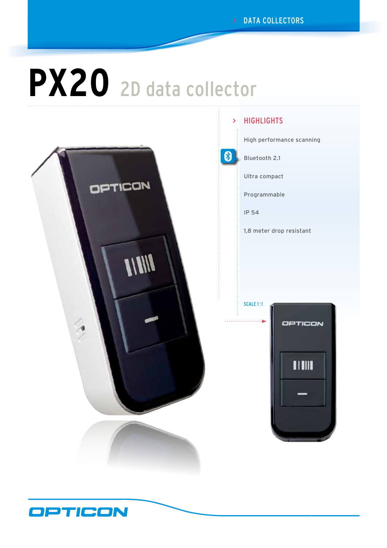# **PX20** 2D data collector



## > HIGHLIGHTS